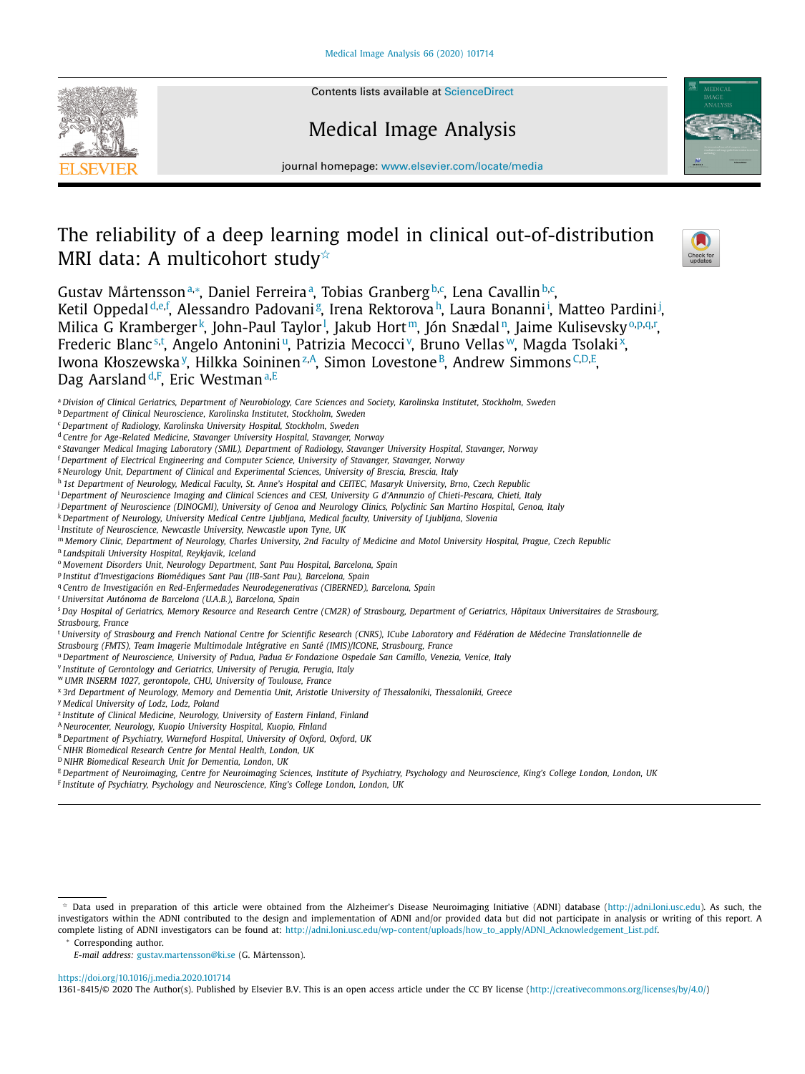

Contents lists available at [ScienceDirect](http://www.ScienceDirect.com)

# Medical Image Analysis



journal homepage: [www.elsevier.com/locate/media](http://www.elsevier.com/locate/media)

# The reliability of a deep learning model in clinical out-of-distribution MRI data: A multicohort study $^{\scriptscriptstyle\star}$



Gustav Mårtenssonª,\*, Daniel Ferreiraª, Tobias Granberg<sup>b,c</sup>, Lena Cavallin<sup>b,c</sup>,

Ketil Oppedal<sup>d,e,f</sup>, Alessandro Padovani&, Irena Rektorova<sup>h</sup>, Laura Bonanni<sup>i</sup>, Matteo Pardini<sup>j</sup>, Milica G Kramberger<sup>k</sup>, John-Paul Taylor<sup>1</sup>, Jakub Hort<sup>m</sup>, Jón Snædal<u>n, Jaime Kulisevsky<sup>0,p,q,r</sup>,</u> Frederic Blanc<sup>s,t</sup>, Angelo Antonini<sup>u</sup>, Patrizia Mecocci<sup>v</sup>, Bruno Vellas<sup>w</sup>, Magda Tsolaki<sup>x</sup>, Iwona Kłoszewska<sup> y</sup>, Hilkka Soininen<sup>z,A</sup>, Simon Lovestone <sup>B</sup>, Andrew Simmons <sup>C,D,E</sup>, Dag Aarsland<sup>d,F</sup>, Eric Westman<sup>a,E</sup>

- <sup>f</sup> *Department of Electrical Engineering and Computer Science, University of Stavanger, Stavanger, Norway*
- <sup>g</sup> *Neurology Unit, Department of Clinical and Experimental Sciences, University of Brescia, Brescia, Italy*
- h 1st Department of Neurology, Medical Faculty, St. Anne's Hospital and CEITEC, Masaryk University, Brno, Czech Republic
- <sup>i</sup> Department of Neuroscience Imaging and Clinical Sciences and CESI, University G d'Annunzio of Chieti-Pescara, Chieti, Italy
- <sup>j</sup> Department of Neuroscience (DINOGMI), University of Genoa and Neurology Clinics, Polyclinic San Martino Hospital, Genoa, Italy
- <sup>k</sup> *Department of Neurology, University Medical Centre Ljubljana, Medical faculty, University of Ljubljana, Slovenia*
- <sup>l</sup> *Institute of Neuroscience, Newcastle University, Newcastle upon Tyne, UK*
- m Memory Clinic, Department of Neurology, Charles University, 2nd Faculty of Medicine and Motol University Hospital, Prague, Czech Republic
- <sup>n</sup> *Landspitali University Hospital, Reykjavik, Iceland*
- <sup>o</sup> *Movement Disorders Unit, Neurology Department, Sant Pau Hospital, Barcelona, Spain*
- <sup>p</sup> *Institut d'Investigacions Biomédiques Sant Pau (IIB-Sant Pau), Barcelona, Spain*
- <sup>q</sup> *Centro de Investigación en Red-Enfermedades Neurodegenerativas (CIBERNED), Barcelona, Spain*
- <sup>r</sup> *Universitat Autónoma de Barcelona (U.A.B.), Barcelona, Spain*
- <sup>5</sup> Day Hospital of Geriatrics, Memory Resource and Research Centre (CM2R) of Strasbourg, Department of Geriatrics, Hôpitaux Universitaires de Strasbourg, *Strasbourg, France*
- <sup>t</sup> University of Strasbourg and French National Centre for Scientific Research (CNRS), ICube Laboratory and Fédération de Médecine Translationnelle de
- *Strasbourg (FMTS), Team Imagerie Multimodale Intégrative en Santé (IMIS)/ICONE, Strasbourg, France*
- <sup>u</sup> *Department of Neuroscience, University of Padua, Padua & Fondazione Ospedale San Camillo, Venezia, Venice, Italy*
- <sup>v</sup> *Institute of Gerontology and Geriatrics, University of Perugia, Perugia, Italy*
- <sup>w</sup> *UMR INSERM 1027, gerontopole, CHU, University of Toulouse, France*
- <sup>x</sup> *3rd Department of Neurology, Memory and Dementia Unit, Aristotle University of Thessaloniki, Thessaloniki, Greece*
- <sup>y</sup> *Medical University of Lodz, Lodz, Poland*
- <sup>z</sup> *Institute of Clinical Medicine, Neurology, University of Eastern Finland, Finland*
- <sup>A</sup> *Neurocenter, Neurology, Kuopio University Hospital, Kuopio, Finland*
- <sup>B</sup> *Department of Psychiatry, Warneford Hospital, University of Oxford, Oxford, UK*
- <sup>C</sup> *NIHR Biomedical Research Centre for Mental Health, London, UK*
- <sup>D</sup> *NIHR Biomedical Research Unit for Dementia, London, UK*
- <sup>E</sup> Department of Neuroimaging, Centre for Neuroimaging Sciences, Institute of Psychiatry, Psychology and Neuroscience, King's College London, London, UK
- <sup>F</sup> *Institute of Psychiatry, Psychology and Neuroscience, King's College London, London, UK*

#### <https://doi.org/10.1016/j.media.2020.101714>

1361-8415/© 2020 The Author(s). Published by Elsevier B.V. This is an open access article under the CC BY license [\(http://creativecommons.org/licenses/by/4.0/\)](http://creativecommons.org/licenses/by/4.0/)

a Division of Clinical Geriatrics, Department of Neurobiology, Care Sciences and Society, Karolinska Institutet, Stockholm, Sweden

<sup>b</sup> *Department of Clinical Neuroscience, Karolinska Institutet, Stockholm, Sweden*

<sup>c</sup> *Department of Radiology, Karolinska University Hospital, Stockholm, Sweden*

<sup>d</sup> *Centre for Age-Related Medicine, Stavanger University Hospital, Stavanger, Norway*

<sup>e</sup> *Stavanger Medical Imaging Laboratory (SMIL), Department of Radiology, Stavanger University Hospital, Stavanger, Norway*

 $*$  Data used in preparation of this article were obtained from the Alzheimer's Disease Neuroimaging Initiative (ADNI) database [\(http://adni.loni.usc.edu\)](http://adni.loni.usc.edu). As such, the investigators within the ADNI contributed to the design and implementation of ADNI and/or provided data but did not participate in analysis or writing of this report. A complete listing of ADNI investigators can be found at: [http://adni.loni.usc.edu/wp-content/uploads/how\\_to\\_apply/ADNI\\_Acknowledgement\\_List.pdf.](http://adni.loni.usc.edu/wp-content/uploads/how_to_apply/ADNI_Acknowledgement_List.pdf)

Corresponding author.

*E-mail address:* [gustav.martensson@ki.se](mailto:gustav.martensson@ki.se) (G. Mårtensson).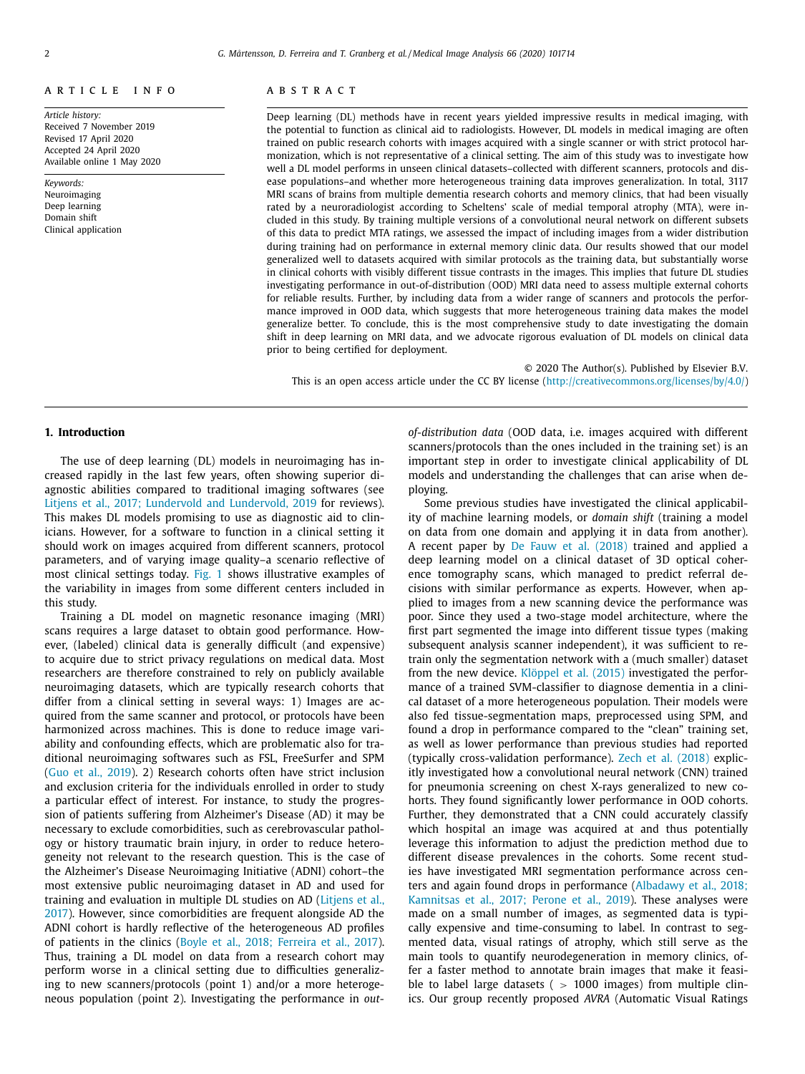#### A R T I C L E I N E O

*Article history:* Received 7 November 2019 Revised 17 April 2020 Accepted 24 April 2020 Available online 1 May 2020

*Keywords:* Neuroimaging Deep learning Domain shift Clinical application

# A B S T R A C T

Deep learning (DL) methods have in recent years yielded impressive results in medical imaging, with the potential to function as clinical aid to radiologists. However, DL models in medical imaging are often trained on public research cohorts with images acquired with a single scanner or with strict protocol harmonization, which is not representative of a clinical setting. The aim of this study was to investigate how well a DL model performs in unseen clinical datasets–collected with different scanners, protocols and disease populations–and whether more heterogeneous training data improves generalization. In total, 3117 MRI scans of brains from multiple dementia research cohorts and memory clinics, that had been visually rated by a neuroradiologist according to Scheltens' scale of medial temporal atrophy (MTA), were included in this study. By training multiple versions of a convolutional neural network on different subsets of this data to predict MTA ratings, we assessed the impact of including images from a wider distribution during training had on performance in external memory clinic data. Our results showed that our model generalized well to datasets acquired with similar protocols as the training data, but substantially worse in clinical cohorts with visibly different tissue contrasts in the images. This implies that future DL studies investigating performance in out-of-distribution (OOD) MRI data need to assess multiple external cohorts for reliable results. Further, by including data from a wider range of scanners and protocols the performance improved in OOD data, which suggests that more heterogeneous training data makes the model generalize better. To conclude, this is the most comprehensive study to date investigating the domain shift in deep learning on MRI data, and we advocate rigorous evaluation of DL models on clinical data prior to being certified for deployment.

© 2020 The Author(s). Published by Elsevier B.V. This is an open access article under the CC BY license [\(http://creativecommons.org/licenses/by/4.0/\)](http://creativecommons.org/licenses/by/4.0/)

## **1. Introduction**

The use of deep learning (DL) models in neuroimaging has increased rapidly in the last few years, often showing superior diagnostic abilities compared to traditional imaging softwares (see Litjens et al., 2017; Lundervold and [Lundervold,](#page-8-0) 2019 for reviews). This makes DL models promising to use as diagnostic aid to clinicians. However, for a software to function in a clinical setting it should work on images acquired from different scanners, protocol parameters, and of varying image quality–a scenario reflective of most clinical settings today. [Fig.](#page-2-0) 1 shows illustrative examples of the variability in images from some different centers included in this study.

Training a DL model on magnetic resonance imaging (MRI) scans requires a large dataset to obtain good performance. However, (labeled) clinical data is generally difficult (and expensive) to acquire due to strict privacy regulations on medical data. Most researchers are therefore constrained to rely on publicly available neuroimaging datasets, which are typically research cohorts that differ from a clinical setting in several ways: 1) Images are acquired from the same scanner and protocol, or protocols have been harmonized across machines. This is done to reduce image variability and confounding effects, which are problematic also for traditional neuroimaging softwares such as FSL, FreeSurfer and SPM (Guo et al., [2019\)](#page-8-0). 2) Research cohorts often have strict inclusion and exclusion criteria for the individuals enrolled in order to study a particular effect of interest. For instance, to study the progression of patients suffering from Alzheimer's Disease (AD) it may be necessary to exclude comorbidities, such as cerebrovascular pathology or history traumatic brain injury, in order to reduce heterogeneity not relevant to the research question. This is the case of the Alzheimer's Disease Neuroimaging Initiative (ADNI) cohort–the most extensive public neuroimaging dataset in AD and used for training and evaluation in multiple DL studies on AD (Litjens et al., 2017). However, since [comorbidities](#page-8-0) are frequent alongside AD the ADNI cohort is hardly reflective of the heterogeneous AD profiles of patients in the clinics (Boyle et al., 2018; [Ferreira](#page-8-0) et al., 2017). Thus, training a DL model on data from a research cohort may perform worse in a clinical setting due to difficulties generalizing to new scanners/protocols (point 1) and/or a more heterogeneous population (point 2). Investigating the performance in *out-* *of-distribution data* (OOD data, i.e. images acquired with different scanners/protocols than the ones included in the training set) is an important step in order to investigate clinical applicability of DL models and understanding the challenges that can arise when deploying.

Some previous studies have investigated the clinical applicability of machine learning models, or *domain shift* (training a model on data from one domain and applying it in data from another). A recent paper by De Fauw et al. [\(2018\)](#page-8-0) trained and applied a deep learning model on a clinical dataset of 3D optical coherence tomography scans, which managed to predict referral decisions with similar performance as experts. However, when applied to images from a new scanning device the performance was poor. Since they used a two-stage model architecture, where the first part segmented the image into different tissue types (making subsequent analysis scanner independent), it was sufficient to retrain only the segmentation network with a (much smaller) dataset from the new device. [Klöppel](#page-8-0) et al. (2015) investigated the performance of a trained SVM-classifier to diagnose dementia in a clinical dataset of a more heterogeneous population. Their models were also fed tissue-segmentation maps, preprocessed using SPM, and found a drop in performance compared to the "clean" training set, as well as lower performance than previous studies had reported (typically cross-validation performance). Zech et al. [\(2018\)](#page-9-0) explicitly investigated how a convolutional neural network (CNN) trained for pneumonia screening on chest X-rays generalized to new cohorts. They found significantly lower performance in OOD cohorts. Further, they demonstrated that a CNN could accurately classify which hospital an image was acquired at and thus potentially leverage this information to adjust the prediction method due to different disease prevalences in the cohorts. Some recent studies have investigated MRI segmentation performance across centers and again found drops in [performance](#page-8-0) (Albadawy et al., 2018; Kamnitsas et al., 2017; Perone et al., 2019). These analyses were made on a small number of images, as segmented data is typically expensive and time-consuming to label. In contrast to segmented data, visual ratings of atrophy, which still serve as the main tools to quantify neurodegeneration in memory clinics, offer a faster method to annotate brain images that make it feasible to label large datasets ( $> 1000$  images) from multiple clinics. Our group recently proposed *AVRA* (Automatic Visual Ratings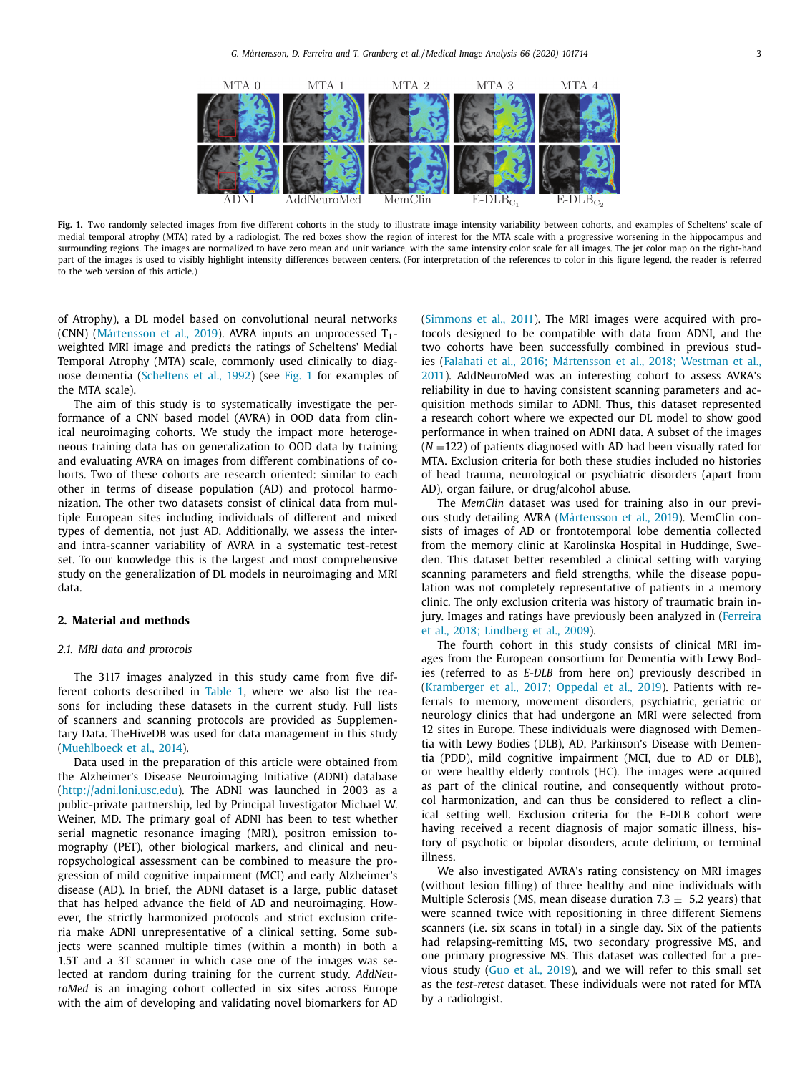<span id="page-2-0"></span>

Fig. 1. Two randomly selected images from five different cohorts in the study to illustrate image intensity variability between cohorts, and examples of Scheltens' scale of medial temporal atrophy (MTA) rated by a radiologist. The red boxes show the region of interest for the MTA scale with a progressive worsening in the hippocampus and surrounding regions. The images are normalized to have zero mean and unit variance, with the same intensity color scale for all images. The jet color map on the right-hand part of the images is used to visibly highlight intensity differences between centers. (For interpretation of the references to color in this figure legend, the reader is referred to the web version of this article.)

of Atrophy), a DL model based on convolutional neural networks (CNN) [\(Mårtensson](#page-9-0) et al., 2019). AVRA inputs an unprocessed  $T_1$ weighted MRI image and predicts the ratings of Scheltens' Medial Temporal Atrophy (MTA) scale, commonly used clinically to diagnose dementia [\(Scheltens](#page-9-0) et al., 1992) (see Fig. 1 for examples of the MTA scale).

The aim of this study is to systematically investigate the performance of a CNN based model (AVRA) in OOD data from clinical neuroimaging cohorts. We study the impact more heterogeneous training data has on generalization to OOD data by training and evaluating AVRA on images from different combinations of cohorts. Two of these cohorts are research oriented: similar to each other in terms of disease population (AD) and protocol harmonization. The other two datasets consist of clinical data from multiple European sites including individuals of different and mixed types of dementia, not just AD. Additionally, we assess the interand intra-scanner variability of AVRA in a systematic test-retest set. To our knowledge this is the largest and most comprehensive study on the generalization of DL models in neuroimaging and MRI data.

## **2. Material and methods**

#### *2.1. MRI data and protocols*

The 3117 images analyzed in this study came from five different cohorts described in [Table](#page-3-0) 1, where we also list the reasons for including these datasets in the current study. Full lists of scanners and scanning protocols are provided as Supplementary Data. TheHiveDB was used for data management in this study [\(Muehlboeck](#page-9-0) et al., 2014).

Data used in the preparation of this article were obtained from the Alzheimer's Disease Neuroimaging Initiative (ADNI) database [\(http://adni.loni.usc.edu\)](http://adni.loni.usc.edu). The ADNI was launched in 2003 as a public-private partnership, led by Principal Investigator Michael W. Weiner, MD. The primary goal of ADNI has been to test whether serial magnetic resonance imaging (MRI), positron emission tomography (PET), other biological markers, and clinical and neuropsychological assessment can be combined to measure the progression of mild cognitive impairment (MCI) and early Alzheimer's disease (AD). In brief, the ADNI dataset is a large, public dataset that has helped advance the field of AD and neuroimaging. However, the strictly harmonized protocols and strict exclusion criteria make ADNI unrepresentative of a clinical setting. Some subjects were scanned multiple times (within a month) in both a 1.5T and a 3T scanner in which case one of the images was selected at random during training for the current study. *AddNeuroMed* is an imaging cohort collected in six sites across Europe with the aim of developing and validating novel biomarkers for AD

[\(Simmons](#page-9-0) et al., 2011). The MRI images were acquired with protocols designed to be compatible with data from ADNI, and the two cohorts have been successfully combined in previous studies (Falahati et al., 2016; Mårtensson et al., 2018; Westman et al., 2011). [AddNeuroMed](#page-8-0) was an interesting cohort to assess AVRA's reliability in due to having consistent scanning parameters and acquisition methods similar to ADNI. Thus, this dataset represented a research cohort where we expected our DL model to show good performance in when trained on ADNI data. A subset of the images  $(N=122)$  of patients diagnosed with AD had been visually rated for MTA. Exclusion criteria for both these studies included no histories of head trauma, neurological or psychiatric disorders (apart from AD), organ failure, or drug/alcohol abuse.

The *MemClin* dataset was used for training also in our previous study detailing AVRA [\(Mårtensson](#page-9-0) et al., 2019). MemClin consists of images of AD or frontotemporal lobe dementia collected from the memory clinic at Karolinska Hospital in Huddinge, Sweden. This dataset better resembled a clinical setting with varying scanning parameters and field strengths, while the disease population was not completely representative of patients in a memory clinic. The only exclusion criteria was history of traumatic brain injury. Images and ratings have [previously](#page-8-0) been analyzed in (Ferreira et al., 2018; Lindberg et al., 2009).

The fourth cohort in this study consists of clinical MRI images from the European consortium for Dementia with Lewy Bodies (referred to as *E-DLB* from here on) previously described in [\(Kramberger](#page-8-0) et al., 2017; Oppedal et al., 2019). Patients with referrals to memory, movement disorders, psychiatric, geriatric or neurology clinics that had undergone an MRI were selected from 12 sites in Europe. These individuals were diagnosed with Dementia with Lewy Bodies (DLB), AD, Parkinson's Disease with Dementia (PDD), mild cognitive impairment (MCI, due to AD or DLB), or were healthy elderly controls (HC). The images were acquired as part of the clinical routine, and consequently without protocol harmonization, and can thus be considered to reflect a clinical setting well. Exclusion criteria for the E-DLB cohort were having received a recent diagnosis of major somatic illness, history of psychotic or bipolar disorders, acute delirium, or terminal illness.

We also investigated AVRA's rating consistency on MRI images (without lesion filling) of three healthy and nine individuals with Multiple Sclerosis (MS, mean disease duration  $7.3 \pm 5.2$  years) that were scanned twice with repositioning in three different Siemens scanners (i.e. six scans in total) in a single day. Six of the patients had relapsing-remitting MS, two secondary progressive MS, and one primary progressive MS. This dataset was collected for a previous study (Guo et al., [2019\)](#page-8-0), and we will refer to this small set as the *test-retest* dataset. These individuals were not rated for MTA by a radiologist.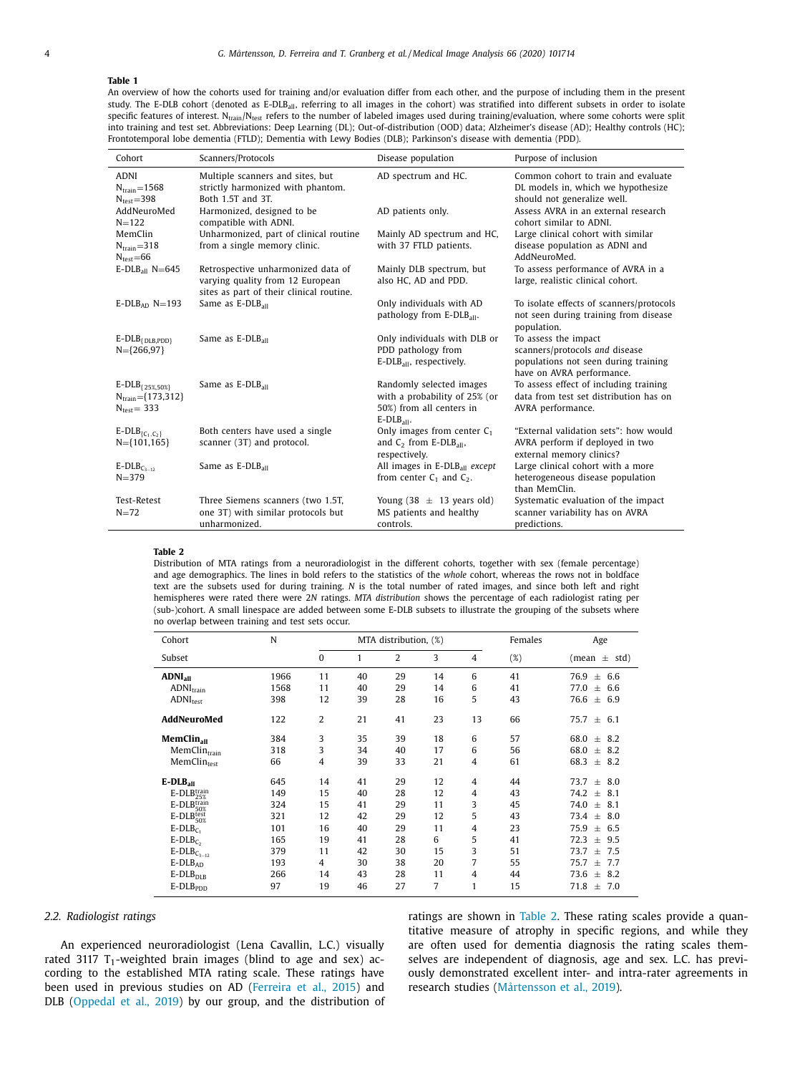#### <span id="page-3-0"></span>**Table 1**

An overview of how the cohorts used for training and/or evaluation differ from each other, and the purpose of including them in the present study. The E-DLB cohort (denoted as E-DLBall, referring to all images in the cohort) was stratified into different subsets in order to isolate specific features of interest. N<sub>train</sub>/Ntest refers to the number of labeled images used during training/evaluation, where some cohorts were split into training and test set. Abbreviations: Deep Learning (DL); Out-of-distribution (OOD) data; Alzheimer's disease (AD); Healthy controls (HC); Frontotemporal lobe dementia (FTLD); Dementia with Lewy Bodies (DLB); Parkinson's disease with dementia (PDD).

| Cohort                                                                 | Scanners/Protocols                                                                                                 | Disease population                                                                                    | Purpose of inclusion                                                                                                        |
|------------------------------------------------------------------------|--------------------------------------------------------------------------------------------------------------------|-------------------------------------------------------------------------------------------------------|-----------------------------------------------------------------------------------------------------------------------------|
| <b>ADNI</b><br>$N_{\text{train}} = 1568$<br>$N_{test} = 398$           | Multiple scanners and sites, but<br>strictly harmonized with phantom.<br>Both 1.5T and 3T.                         | AD spectrum and HC.                                                                                   | Common cohort to train and evaluate<br>DL models in, which we hypothesize<br>should not generalize well.                    |
| AddNeuroMed<br>$N = 122$                                               | Harmonized, designed to be<br>compatible with ADNI.                                                                | AD patients only.                                                                                     | Assess AVRA in an external research<br>cohort similar to ADNI.                                                              |
| MemClin<br>$N_{\text{train}} = 318$<br>$N_{test}=66$                   | Unharmonized, part of clinical routine<br>from a single memory clinic.                                             | Mainly AD spectrum and HC,<br>with 37 FTLD patients.                                                  | Large clinical cohort with similar<br>disease population as ADNI and<br>AddNeuroMed.                                        |
| $E-DLBall N=645$                                                       | Retrospective unharmonized data of<br>varying quality from 12 European<br>sites as part of their clinical routine. | Mainly DLB spectrum, but<br>also HC. AD and PDD.                                                      | To assess performance of AVRA in a<br>large, realistic clinical cohort.                                                     |
| $E-DLBAD N=193$                                                        | Same as E-DLB <sub>all</sub>                                                                                       | Only individuals with AD<br>pathology from E-DLB <sub>all</sub> .                                     | To isolate effects of scanners/protocols<br>not seen during training from disease<br>population.                            |
| $E-DLB_{(DLB,PDD)}$<br>$N = \{266, 97\}$                               | Same as E-DLB <sub>all</sub>                                                                                       | Only individuals with DLB or<br>PDD pathology from<br>$E-DLBall$ , respectively.                      | To assess the impact<br>scanners/protocols and disease<br>populations not seen during training<br>have on AVRA performance. |
| $E-DLB_{{25\%,50\%}}$<br>$N_{train} = \{173,312\}$<br>$N_{test} = 333$ | Same as E-DLB <sub>311</sub>                                                                                       | Randomly selected images<br>with a probability of 25% (or<br>50%) from all centers in<br>$E-DLBall$ . | To assess effect of including training<br>data from test set distribution has on<br>AVRA performance.                       |
| $E-DLB{C1,C2}$<br>$N = \{101, 165\}$                                   | Both centers have used a single<br>scanner (3T) and protocol.                                                      | Only images from center $C_1$<br>and $C_2$ from E-DLB <sub>all</sub> ,<br>respectively.               | "External validation sets": how would<br>AVRA perform if deployed in two<br>external memory clinics?                        |
| $E-DLBC2$<br>$N = 379$                                                 | Same as E-DLB <sub>all</sub>                                                                                       | All images in $E-DLB_{all}$ except<br>from center $C_1$ and $C_2$ .                                   | Large clinical cohort with a more<br>heterogeneous disease population<br>than MemClin.                                      |
| <b>Test-Retest</b><br>$N = 72$                                         | Three Siemens scanners (two 1.5T,<br>one 3T) with similar protocols but<br>unharmonized.                           | Young (38 $\pm$ 13 years old)<br>MS patients and healthy<br>controls.                                 | Systematic evaluation of the impact<br>scanner variability has on AVRA<br>predictions.                                      |

#### **Table 2**

Distribution of MTA ratings from a neuroradiologist in the different cohorts, together with sex (female percentage) and age demographics. The lines in bold refers to the statistics of the *whole* cohort, whereas the rows not in boldface text are the subsets used for during training. *N* is the total number of rated images, and since both left and right hemispheres were rated there were 2*N* ratings. *MTA distribution* shows the percentage of each radiologist rating per (sub-)cohort. A small linespace are added between some E-DLB subsets to illustrate the grouping of the subsets where no overlap between training and test sets occur.

| Cohort                        | N    | MTA distribution, (%) |              |    |    |    | Females | Age               |
|-------------------------------|------|-----------------------|--------------|----|----|----|---------|-------------------|
| Subset                        |      | $\bf{0}$              | $\mathbf{1}$ | 2  | 3  | 4  | $(\%)$  | $(mean \pm std)$  |
| <b>ADNI</b> <sub>all</sub>    | 1966 | 11                    | 40           | 29 | 14 | 6  | 41      | $76.9 \pm 6.6$    |
| $\text{ADNI}_{\text{train}}$  | 1568 | 11                    | 40           | 29 | 14 | 6  | 41      | 77.0<br>$\pm$ 6.6 |
| $\text{ADNI}_{\text{test}}$   | 398  | 12                    | 39           | 28 | 16 | 5  | 43      | $76.6 \pm 6.9$    |
| AddNeuroMed                   | 122  | 2                     | 21           | 41 | 23 | 13 | 66      | $75.7 \pm 6.1$    |
| <b>MemClin</b> <sub>all</sub> | 384  | 3                     | 35           | 39 | 18 | 6  | 57      | $68.0 \pm 8.2$    |
| MemClintrain                  | 318  | 3                     | 34           | 40 | 17 | 6  | 56      | 68.0<br>$\pm$ 8.2 |
| MemClintest                   | 66   | 4                     | 39           | 33 | 21 | 4  | 61      | $68.3 \pm 8.2$    |
| $E-DLBall$                    | 645  | 14                    | 41           | 29 | 12 | 4  | 44      | $73.7 \pm 8.0$    |
| $E-DLB_{25\%}^{train}$        | 149  | 15                    | 40           | 28 | 12 | 4  | 43      | $74.2 \pm 8.1$    |
| $E-DLB_{50\%}^{train}$        | 324  | 15                    | 41           | 29 | 11 | 3  | 45      | 74.0<br>$\pm$ 8.1 |
| $E-DLB50%$                    | 321  | 12                    | 42           | 29 | 12 | 5  | 43      | $73.4 \pm 8.0$    |
| $E-DLBC$                      | 101  | 16                    | 40           | 29 | 11 | 4  | 23      | 75.9<br>$\pm$ 6.5 |
| $E-DLBC2$                     | 165  | 19                    | 41           | 28 | 6  | 5  | 41      | 72.3<br>$\pm$ 9.5 |
| $E-DLB_{C_{3-12}}$            | 379  | 11                    | 42           | 30 | 15 | 3  | 51      | 73.7<br>$\pm$ 7.5 |
| $E-DLBAD$                     | 193  | $\overline{4}$        | 30           | 38 | 20 | 7  | 55      | 75.7<br>$\pm$ 7.7 |
| $E-DLBDLB$                    | 266  | 14                    | 43           | 28 | 11 | 4  | 44      | 73.6<br>$\pm$ 8.2 |
| $E-DLBPDD$                    | 97   | 19                    | 46           | 27 | 7  | 1  | 15      | $71.8 \pm 7.0$    |

#### *2.2. Radiologist ratings*

An experienced neuroradiologist (Lena Cavallin, L.C.) visually rated 3117  $T_1$ -weighted brain images (blind to age and sex) according to the established MTA rating scale. These ratings have been used in previous studies on AD [\(Ferreira](#page-8-0) et al., 2015) and DLB [\(Oppedal](#page-9-0) et al., 2019) by our group, and the distribution of ratings are shown in Table 2. These rating scales provide a quantitative measure of atrophy in specific regions, and while they are often used for dementia diagnosis the rating scales themselves are independent of diagnosis, age and sex. L.C. has previously demonstrated excellent inter- and intra-rater agreements in research studies [\(Mårtensson](#page-9-0) et al., 2019).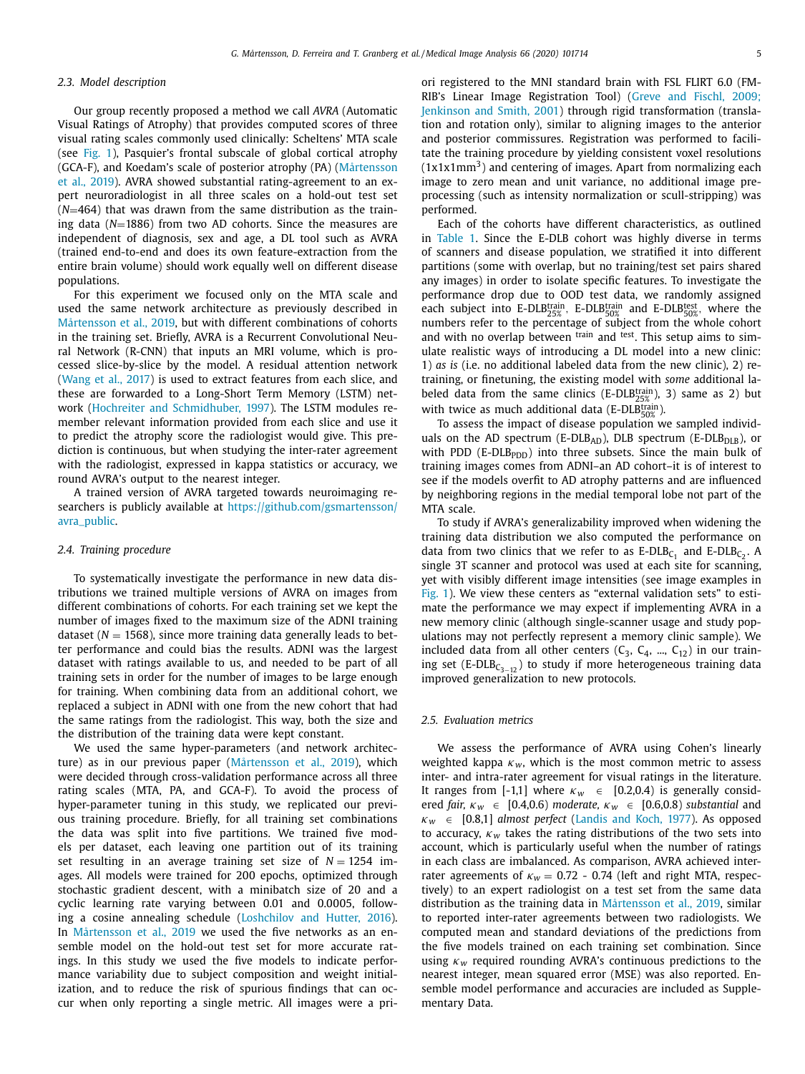# *2.3. Model description*

Our group recently proposed a method we call *AVRA* (Automatic Visual Ratings of Atrophy) that provides computed scores of three visual rating scales commonly used clinically: Scheltens' MTA scale (see [Fig.](#page-2-0) 1), Pasquier's frontal subscale of global cortical atrophy (GCA-F), and Koedam's scale of posterior atrophy (PA) (Mårtensson et al., 2019). AVRA showed substantial [rating-agreement](#page-9-0) to an expert neuroradiologist in all three scales on a hold-out test set (*N*=464) that was drawn from the same distribution as the training data (*N*=1886) from two AD cohorts. Since the measures are independent of diagnosis, sex and age, a DL tool such as AVRA (trained end-to-end and does its own feature-extraction from the entire brain volume) should work equally well on different disease populations.

For this experiment we focused only on the MTA scale and used the same network architecture as previously described in [Mårtensson](#page-9-0) et al., 2019, but with different combinations of cohorts in the training set. Briefly, AVRA is a Recurrent Convolutional Neural Network (R-CNN) that inputs an MRI volume, which is processed slice-by-slice by the model. A residual attention network [\(Wang](#page-9-0) et al., 2017) is used to extract features from each slice, and these are forwarded to a Long-Short Term Memory (LSTM) network (Hochreiter and [Schmidhuber,](#page-8-0) 1997). The LSTM modules remember relevant information provided from each slice and use it to predict the atrophy score the radiologist would give. This prediction is continuous, but when studying the inter-rater agreement with the radiologist, expressed in kappa statistics or accuracy, we round AVRA's output to the nearest integer.

A trained version of AVRA targeted towards neuroimaging researchers is publicly available at [https://github.com/gsmartensson/](https://github.com/gsmartensson/avra_public) avra\_public.

#### *2.4. Training procedure*

To systematically investigate the performance in new data distributions we trained multiple versions of AVRA on images from different combinations of cohorts. For each training set we kept the number of images fixed to the maximum size of the ADNI training dataset ( $N = 1568$ ), since more training data generally leads to better performance and could bias the results. ADNI was the largest dataset with ratings available to us, and needed to be part of all training sets in order for the number of images to be large enough for training. When combining data from an additional cohort, we replaced a subject in ADNI with one from the new cohort that had the same ratings from the radiologist. This way, both the size and the distribution of the training data were kept constant.

We used the same hyper-parameters (and network architecture) as in our previous paper [\(Mårtensson](#page-9-0) et al., 2019), which were decided through cross-validation performance across all three rating scales (MTA, PA, and GCA-F). To avoid the process of hyper-parameter tuning in this study, we replicated our previous training procedure. Briefly, for all training set combinations the data was split into five partitions. We trained five models per dataset, each leaving one partition out of its training set resulting in an average training set size of  $N = 1254$  images. All models were trained for 200 epochs, optimized through stochastic gradient descent, with a minibatch size of 20 and a cyclic learning rate varying between 0.01 and 0.0005, following a cosine annealing schedule [\(Loshchilov](#page-9-0) and Hutter, 2016). In [Mårtensson](#page-9-0) et al., 2019 we used the five networks as an ensemble model on the hold-out test set for more accurate ratings. In this study we used the five models to indicate performance variability due to subject composition and weight initialization, and to reduce the risk of spurious findings that can occur when only reporting a single metric. All images were a priori registered to the MNI standard brain with FSL FLIRT 6.0 (FM-RIB's Linear Image Registration Tool) (Greve and Fischl, 2009; Jenkinson and Smith, 2001) through rigid [transformation](#page-8-0) (translation and rotation only), similar to aligning images to the anterior and posterior commissures. Registration was performed to facilitate the training procedure by yielding consistent voxel resolutions  $(1x1x1mm<sup>3</sup>)$  and centering of images. Apart from normalizing each image to zero mean and unit variance, no additional image preprocessing (such as intensity normalization or scull-stripping) was performed.

Each of the cohorts have different characteristics, as outlined in [Table](#page-3-0) 1. Since the E-DLB cohort was highly diverse in terms of scanners and disease population, we stratified it into different partitions (some with overlap, but no training/test set pairs shared any images) in order to isolate specific features. To investigate the performance drop due to OOD test data, we randomly assigned each subject into E-DLB<sup>train</sup>, E-DLB<sup>train</sup> and E-DLB<sup>test</sup>, where the numbers refer to the percentage of subject from the whole cohort and with no overlap between  $\frac{\text{train}}{\text{train}}$  and  $\frac{\text{test}}{\text{test}}$ . This setup aims to simulate realistic ways of introducing a DL model into a new clinic: 1) *as is* (i.e. no additional labeled data from the new clinic), 2) retraining, or finetuning, the existing model with *some* additional labeled data from the same clinics (E-DLB $_{25\%}^{train}$ ), 3) same as 2) but with twice as much additional data (E-DLB $_{50\%}^{\text{train}}$ ).

To assess the impact of disease population we sampled individuals on the AD spectrum (E-DLB<sub>AD</sub>), DLB spectrum (E-DLB<sub>DLB</sub>), or with PDD (E-DLB<sub>PDD</sub>) into three subsets. Since the main bulk of training images comes from ADNI–an AD cohort–it is of interest to see if the models overfit to AD atrophy patterns and are influenced by neighboring regions in the medial temporal lobe not part of the MTA scale.

To study if AVRA's generalizability improved when widening the training data distribution we also computed the performance on data from two clinics that we refer to as  $E-DLB_{C_1}$  and  $E-DLB_{C_2}$ . A single 3T scanner and protocol was used at each site for scanning, yet with visibly different image intensities (see image examples in [Fig.](#page-2-0) 1). We view these centers as "external validation sets" to estimate the performance we may expect if implementing AVRA in a new memory clinic (although single-scanner usage and study populations may not perfectly represent a memory clinic sample). We included data from all other centers  $(C_3, C_4, ..., C_{12})$  in our training set (E- $DLB_{C_{3-12}}$ ) to study if more heterogeneous training data improved generalization to new protocols.

# *2.5. Evaluation metrics*

We assess the performance of AVRA using Cohen's linearly weighted kappa  $\kappa_w$ , which is the most common metric to assess inter- and intra-rater agreement for visual ratings in the literature. It ranges from [-1,1] where  $\kappa_w \in [0.2, 0.4)$  is generally considered *fair,*  $\kappa_w \in [0.4, 0.6)$  *moderate,*  $\kappa_w \in [0.6, 0.8)$  *substantial* and  $\kappa_w \in [0.8,1]$  *almost perfect* [\(Landis](#page-8-0) and Koch, 1977). As opposed to accuracy,  $\kappa_w$  takes the rating distributions of the two sets into account, which is particularly useful when the number of ratings in each class are imbalanced. As comparison, AVRA achieved interrater agreements of  $\kappa_w = 0.72$  - 0.74 (left and right MTA, respectively) to an expert radiologist on a test set from the same data distribution as the training data in [Mårtensson](#page-9-0) et al., 2019, similar to reported inter-rater agreements between two radiologists. We computed mean and standard deviations of the predictions from the five models trained on each training set combination. Since using κ*<sup>w</sup>* required rounding AVRA's continuous predictions to the nearest integer, mean squared error (MSE) was also reported. Ensemble model performance and accuracies are included as Supplementary Data.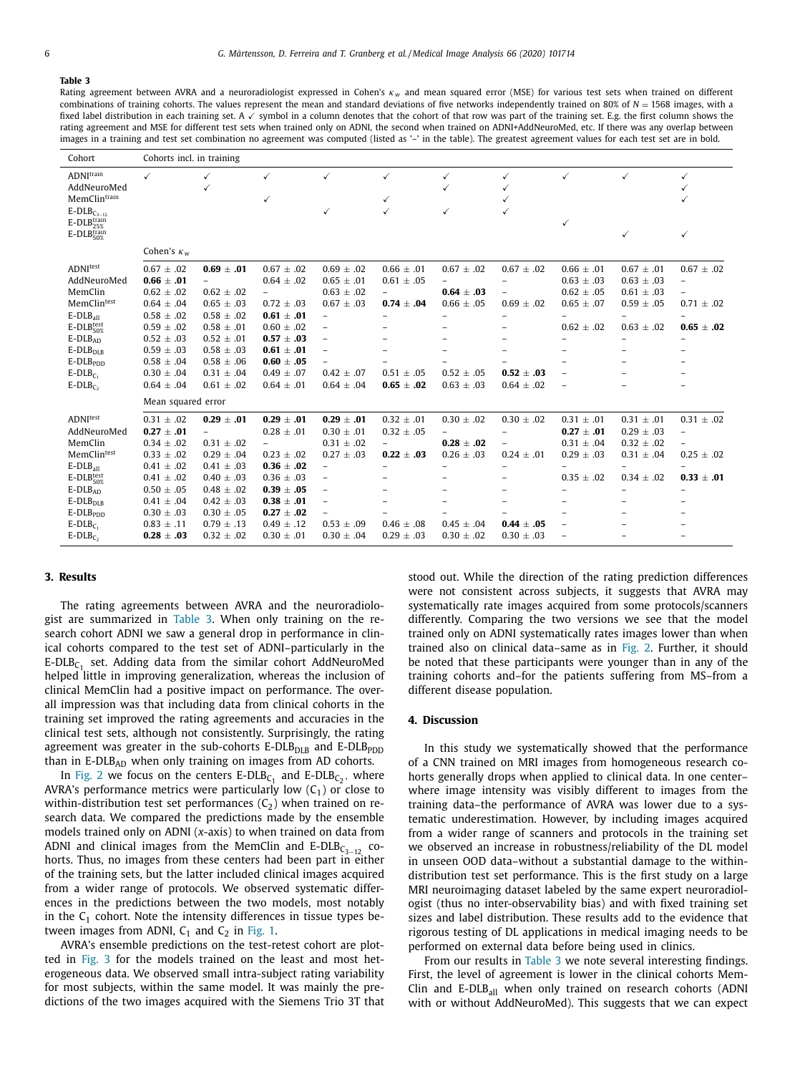## <span id="page-5-0"></span>**Table 3**

Rating agreement between AVRA and a neuroradiologist expressed in Cohen's  $\kappa_w$  and mean squared error (MSE) for various test sets when trained on different combinations of training cohorts. The values represent the mean and standard deviations of five networks independently trained on 80% of *N* = 1568 images, with a fixed label distribution in each training set. A  $\checkmark$  symbol in a column denotes that the cohort of that row was part of the training set. E.g. the first column shows the rating agreement and MSE for different test sets when trained only on ADNI, the second when trained on ADNI+AddNeuroMed, etc. If there was any overlap between images in a training and test set combination no agreement was computed (listed as '–' in the table). The greatest agreement values for each test set are in bold.

| Cohort               | Cohorts incl. in training |                |                |                          |                          |                |                   |                   |                |                          |  |  |
|----------------------|---------------------------|----------------|----------------|--------------------------|--------------------------|----------------|-------------------|-------------------|----------------|--------------------------|--|--|
| <b>ADNItrain</b>     | ✓                         | ✓              | $\checkmark$   | ✓                        | ✓                        | ✓              | ✓                 | ✓                 | ✓              | ✓                        |  |  |
| AddNeuroMed          |                           | ✓              |                |                          |                          | ✓              |                   |                   |                |                          |  |  |
| MemClintrain         |                           |                | ✓              |                          | ✓                        |                | ✓                 |                   |                | ✓                        |  |  |
| $E-DLB_{C_{3-12}}$   |                           |                |                | ✓                        | ✓                        | ✓              |                   |                   |                |                          |  |  |
| $E$ -DLBtrain        |                           |                |                |                          |                          |                |                   | ✓                 |                |                          |  |  |
| $E$ -DLBtrain        |                           |                |                |                          |                          |                |                   |                   | ✓              |                          |  |  |
|                      | Cohen's $\kappa_w$        |                |                |                          |                          |                |                   |                   |                |                          |  |  |
| <b>ADNItest</b>      | $0.67 \pm .02$            | $0.69 \pm .01$ | $0.67 \pm .02$ | $0.69 \pm .02$           | $0.66 \pm .01$           | $0.67 \pm .02$ | $0.67 \pm .02$    | $0.66 \pm .01$    | $0.67 \pm .01$ | $0.67 \pm .02$           |  |  |
| AddNeuroMed          | $0.66 \pm .01$            |                | $0.64 \pm .02$ | $0.65 \pm .01$           | $0.61 \pm .05$           | ÷.             |                   | $0.63 \pm .03$    | $0.63 \pm .03$ | $\overline{\phantom{0}}$ |  |  |
| MemClin              | $0.62 \pm .02$            | $0.62 \pm .02$ |                | $0.63 \pm .02$           | $\overline{\phantom{a}}$ | $0.64 \pm .03$ |                   | $0.62 \pm .05$    | $0.61 \pm .03$ |                          |  |  |
| MemClintest          | $0.64 \pm .04$            | $0.65 \pm .03$ | $0.72 \pm .03$ | $0.67 \pm .03$           | $0.74 \pm .04$           | $0.66 \pm .05$ | $0.69 \pm .02$    | $0.65 \pm .07$    | $0.59 \pm .05$ | $0.71 \pm .02$           |  |  |
| $E-DLBall$           | $0.58 \pm .02$            | $0.58 \pm .02$ | $0.61 \pm .01$ | $\overline{\phantom{0}}$ |                          |                |                   |                   |                |                          |  |  |
| $E-DLB50%$           | $0.59 \pm .02$            | $0.58 \pm .01$ | $0.60 \pm .02$ | $\overline{\phantom{0}}$ |                          |                |                   | $0.62 \pm .02$    | $0.63 \pm .02$ | $0.65\,\pm\,.02$         |  |  |
| $E-DLBAD$            | $0.52 \pm .03$            | $0.52 \pm .01$ | $0.57 \pm .03$ | $\overline{\phantom{0}}$ |                          |                |                   |                   |                |                          |  |  |
| $E-DLBDLB$           | $0.59 \pm .03$            | $0.58 \pm .03$ | $0.61 \pm .01$ | $\overline{\phantom{0}}$ |                          |                |                   |                   |                |                          |  |  |
| E-DLB <sub>PDD</sub> | $0.58 \pm .04$            | $0.58 \pm .06$ | $0.60 \pm .05$ |                          |                          |                |                   |                   |                |                          |  |  |
| $E-DLBC$             | $0.30 \pm .04$            | $0.31 \pm .04$ | $0.49 \pm .07$ | $0.42 \pm .07$           | $0.51 \pm .05$           | $0.52 \pm .05$ | $0.52 \pm .03$    | $\qquad \qquad -$ |                |                          |  |  |
| $E-DLBC$             | $0.64 \pm .04$            | $0.61 \pm .02$ | $0.64 \pm .01$ | $0.64 \pm .04$           | $0.65 \pm .02$           | $0.63 \pm .03$ | $0.64 \pm .02$    | $\qquad \qquad -$ |                |                          |  |  |
|                      | Mean squared error        |                |                |                          |                          |                |                   |                   |                |                          |  |  |
| <b>ADNItest</b>      | $0.31 \pm .02$            | $0.29 \pm .01$ | $0.29 \pm .01$ | $0.29 \pm .01$           | $0.32 \pm .01$           | $0.30 \pm .02$ | $0.30 \pm .02$    | $0.31 \pm .01$    | $0.31 \pm .01$ | $0.31 \pm .02$           |  |  |
| AddNeuroMed          | $0.27 \pm .01$            | Ξ.             | $0.28 \pm .01$ | $0.30 \pm .01$           | $0.32 \pm .05$           |                |                   | $0.27 \pm .01$    | $0.29 \pm .03$ | $\qquad \qquad -$        |  |  |
| MemClin              | $0.34 \pm .02$            | $0.31 \pm .02$ |                | $0.31 \pm .02$           | $\overline{\phantom{a}}$ | $0.28 \pm .02$ | $\qquad \qquad -$ | $0.31 \pm .04$    | $0.32 \pm .02$ | $\qquad \qquad -$        |  |  |
| MemClintest          | $0.33 \pm .02$            | $0.29 \pm .04$ | $0.23 \pm .02$ | $0.27 \pm .03$           | $0.22 \pm .03$           | $0.26 \pm .03$ | $0.24 \pm .01$    | $0.29 \pm .03$    | $0.31 \pm .04$ | $0.25 \pm .02$           |  |  |
| $E-DLBall$           | $0.41 \pm .02$            | $0.41 \pm .03$ | $0.36 \pm .02$ | $\overline{\phantom{0}}$ | -                        |                |                   |                   | Ξ.             | $\overline{\phantom{0}}$ |  |  |
| $E-DLB50%$           | $0.41 \pm .02$            | $0.40 \pm .03$ | $0.36 \pm .03$ | $\overline{\phantom{0}}$ |                          |                |                   | $0.35 \pm .02$    | $0.34 \pm .02$ | $0.33 \pm .01$           |  |  |
| $E-DLBAD$            | $0.50 \pm .05$            | $0.48 \pm .02$ | $0.39 \pm .05$ | $\overline{\phantom{0}}$ |                          |                |                   |                   | $\overline{a}$ | ÷                        |  |  |
| $E-DLBDLB$           | $0.41 \pm .04$            | $0.42 \pm .03$ | $0.38 \pm .01$ |                          |                          |                |                   |                   |                |                          |  |  |
| E-DLB <sub>PDD</sub> | $0.30 \pm .03$            | $0.30 \pm .05$ | $0.27 \pm .02$ |                          |                          |                |                   |                   |                |                          |  |  |
| $E-DLBC$             | $0.83 \pm .11$            | $0.79 \pm .13$ | $0.49 \pm .12$ | $0.53 \pm .09$           | $0.46 \pm .08$           | $0.45 \pm .04$ | $0.44 \pm .05$    |                   |                |                          |  |  |
| $E-DLBC$             | $0.28 \pm .03$            | $0.32 \pm .02$ | $0.30 \pm .01$ | $0.30 \pm .04$           | $0.29 \pm .03$           | $0.30 \pm .02$ | $0.30 \pm .03$    |                   | -              | $\overline{a}$           |  |  |

# **3. Results**

The rating agreements between AVRA and the neuroradiologist are summarized in Table 3. When only training on the research cohort ADNI we saw a general drop in performance in clinical cohorts compared to the test set of ADNI–particularly in the E-DLB<sub>C</sub>, set. Adding data from the similar cohort AddNeuroMed helped little in improving generalization, whereas the inclusion of clinical MemClin had a positive impact on performance. The overall impression was that including data from clinical cohorts in the training set improved the rating agreements and accuracies in the clinical test sets, although not consistently. Surprisingly, the rating agreement was greater in the sub-cohorts E-DLB<sub>DLB</sub> and E-DLB<sub>PDD</sub> than in E-DLB<sub>AD</sub> when only training on images from AD cohorts.

In [Fig.](#page-6-0) 2 we focus on the centers E-DLB<sub>C<sub>1</sub></sub> and E-DLB<sub>C<sub>2</sub></sub>, where AVRA's performance metrics were particularly low  $(C_1)$  or close to within-distribution test set performances  $(C_2)$  when trained on research data. We compared the predictions made by the ensemble models trained only on ADNI (*x*-axis) to when trained on data from ADNI and clinical images from the MemClin and E-DLB<sub>C3−12</sub> cohorts. Thus, no images from these centers had been part in either of the training sets, but the latter included clinical images acquired from a wider range of protocols. We observed systematic differences in the predictions between the two models, most notably in the  $C_1$  cohort. Note the intensity differences in tissue types between images from ADNI,  $C_1$  and  $C_2$  in [Fig.](#page-2-0) 1.

AVRA's ensemble predictions on the test-retest cohort are plotted in [Fig.](#page-6-0) 3 for the models trained on the least and most heterogeneous data. We observed small intra-subject rating variability for most subjects, within the same model. It was mainly the predictions of the two images acquired with the Siemens Trio 3T that stood out. While the direction of the rating prediction differences were not consistent across subjects, it suggests that AVRA may systematically rate images acquired from some protocols/scanners differently. Comparing the two versions we see that the model trained only on ADNI systematically rates images lower than when trained also on clinical data–same as in [Fig.](#page-6-0) 2. Further, it should be noted that these participants were younger than in any of the training cohorts and–for the patients suffering from MS–from a different disease population.

## **4. Discussion**

In this study we systematically showed that the performance of a CNN trained on MRI images from homogeneous research cohorts generally drops when applied to clinical data. In one center– where image intensity was visibly different to images from the training data–the performance of AVRA was lower due to a systematic underestimation. However, by including images acquired from a wider range of scanners and protocols in the training set we observed an increase in robustness/reliability of the DL model in unseen OOD data–without a substantial damage to the withindistribution test set performance. This is the first study on a large MRI neuroimaging dataset labeled by the same expert neuroradiologist (thus no inter-observability bias) and with fixed training set sizes and label distribution. These results add to the evidence that rigorous testing of DL applications in medical imaging needs to be performed on external data before being used in clinics.

From our results in Table 3 we note several interesting findings. First, the level of agreement is lower in the clinical cohorts Mem-Clin and E- $DLB_{all}$  when only trained on research cohorts (ADNI with or without AddNeuroMed). This suggests that we can expect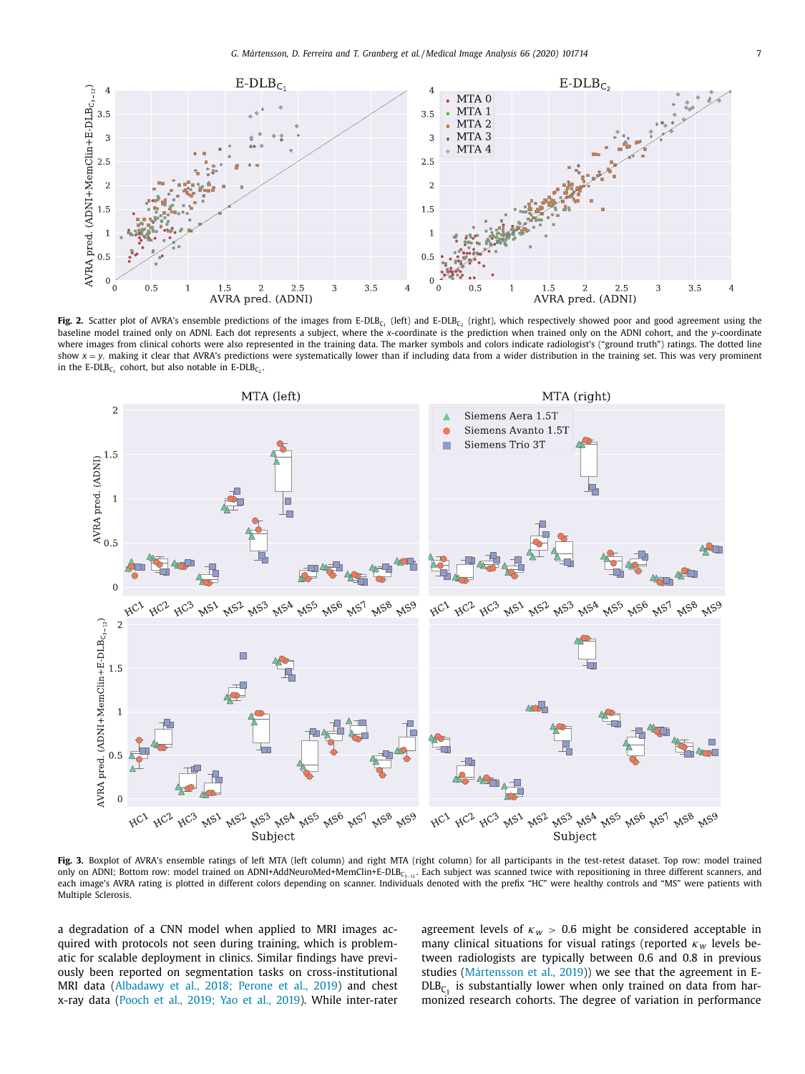<span id="page-6-0"></span>

Fig. 2. Scatter plot of AVRA's ensemble predictions of the images from E-DLB<sub>C</sub>, (left) and E-DLB<sub>C</sub>, (right), which respectively showed poor and good agreement using the baseline model trained only on ADNI. Each dot represents a subject, where the *x*-coordinate is the prediction when trained only on the ADNI cohort, and the *y*-coordinate where images from clinical cohorts were also represented in the training data. The marker symbols and colors indicate radiologist's ("ground truth") ratings. The dotted line show  $x = y$ , making it clear that AVRA's predictions were systematically lower than if including data from a wider distribution in the training set. This was very prominent in the E-DLB<sub>C1</sub> cohort, but also notable in E-DLB<sub>C2</sub>.



**Fig. 3.** Boxplot of AVRA's ensemble ratings of left MTA (left column) and right MTA (right column) for all participants in the test-retest dataset. Top row: model trained only on ADNI; Bottom row: model trained on ADNI+AddNeuroMed+MemClin+E-DLB<sub>C3-12</sub>. Each subject was scanned twice with repositioning in three different scanners, and each image's AVRA rating is plotted in different colors depending on scanner. Individuals denoted with the prefix "HC" were healthy controls and "MS" were patients with Multiple Sclerosis.

a degradation of a CNN model when applied to MRI images acquired with protocols not seen during training, which is problematic for scalable deployment in clinics. Similar findings have previously been reported on segmentation tasks on cross-institutional MRI data [\(Albadawy](#page-8-0) et al., 2018; Perone et al., 2019) and chest x-ray data [\(Pooch](#page-9-0) et al., 2019; Yao et al., 2019). While inter-rater

agreement levels of  $\kappa_w > 0.6$  might be considered acceptable in many clinical situations for visual ratings (reported κ*<sup>w</sup>* levels between radiologists are typically between 0.6 and 0.8 in previous studies [\(Mårtensson](#page-9-0) et al., 2019)) we see that the agreement in E- $DLB<sub>C</sub>$  is substantially lower when only trained on data from harmonized research cohorts. The degree of variation in performance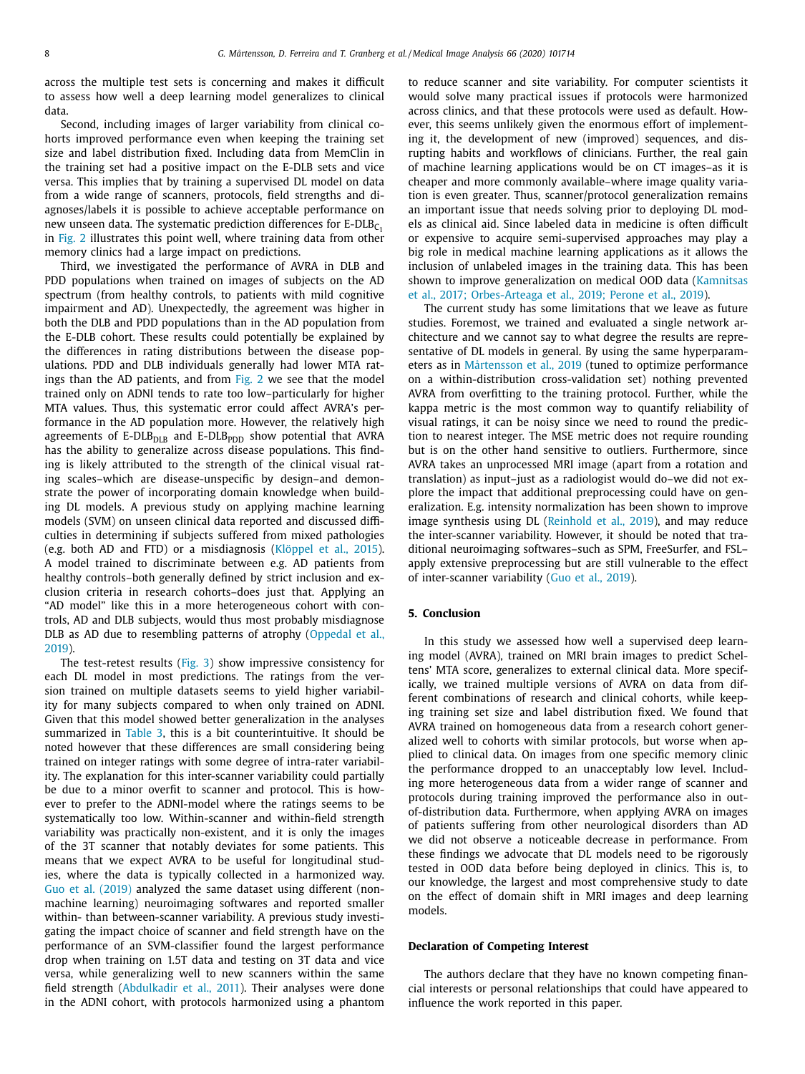across the multiple test sets is concerning and makes it difficult to assess how well a deep learning model generalizes to clinical data.

Second, including images of larger variability from clinical cohorts improved performance even when keeping the training set size and label distribution fixed. Including data from MemClin in the training set had a positive impact on the E-DLB sets and vice versa. This implies that by training a supervised DL model on data from a wide range of scanners, protocols, field strengths and diagnoses/labels it is possible to achieve acceptable performance on new unseen data. The systematic prediction differences for  $E-DLB<sub>C1</sub>$ in [Fig.](#page-6-0) 2 illustrates this point well, where training data from other memory clinics had a large impact on predictions.

Third, we investigated the performance of AVRA in DLB and PDD populations when trained on images of subjects on the AD spectrum (from healthy controls, to patients with mild cognitive impairment and AD). Unexpectedly, the agreement was higher in both the DLB and PDD populations than in the AD population from the E-DLB cohort. These results could potentially be explained by the differences in rating distributions between the disease populations. PDD and DLB individuals generally had lower MTA ratings than the AD patients, and from [Fig.](#page-6-0) 2 we see that the model trained only on ADNI tends to rate too low–particularly for higher MTA values. Thus, this systematic error could affect AVRA's performance in the AD population more. However, the relatively high agreements of E-DLB $_{\text{DIR}}$  and E-DLB $_{\text{PDD}}$  show potential that AVRA has the ability to generalize across disease populations. This finding is likely attributed to the strength of the clinical visual rating scales–which are disease-unspecific by design–and demonstrate the power of incorporating domain knowledge when building DL models. A previous study on applying machine learning models (SVM) on unseen clinical data reported and discussed difficulties in determining if subjects suffered from mixed pathologies (e.g. both AD and FTD) or a misdiagnosis [\(Klöppel](#page-8-0) et al., 2015). A model trained to discriminate between e.g. AD patients from healthy controls–both generally defined by strict inclusion and exclusion criteria in research cohorts–does just that. Applying an "AD model" like this in a more heterogeneous cohort with controls, AD and DLB subjects, would thus most probably misdiagnose DLB as AD due to [resembling](#page-9-0) patterns of atrophy (Oppedal et al., 2019).

The test-retest results [\(Fig.](#page-6-0) 3) show impressive consistency for each DL model in most predictions. The ratings from the version trained on multiple datasets seems to yield higher variability for many subjects compared to when only trained on ADNI. Given that this model showed better generalization in the analyses summarized in [Table](#page-5-0) 3, this is a bit counterintuitive. It should be noted however that these differences are small considering being trained on integer ratings with some degree of intra-rater variability. The explanation for this inter-scanner variability could partially be due to a minor overfit to scanner and protocol. This is however to prefer to the ADNI-model where the ratings seems to be systematically too low. Within-scanner and within-field strength variability was practically non-existent, and it is only the images of the 3T scanner that notably deviates for some patients. This means that we expect AVRA to be useful for longitudinal studies, where the data is typically collected in a harmonized way. Guo et al. [\(2019\)](#page-8-0) analyzed the same dataset using different (nonmachine learning) neuroimaging softwares and reported smaller within- than between-scanner variability. A previous study investigating the impact choice of scanner and field strength have on the performance of an SVM-classifier found the largest performance drop when training on 1.5T data and testing on 3T data and vice versa, while generalizing well to new scanners within the same field strength [\(Abdulkadir](#page-8-0) et al., 2011). Their analyses were done in the ADNI cohort, with protocols harmonized using a phantom to reduce scanner and site variability. For computer scientists it would solve many practical issues if protocols were harmonized across clinics, and that these protocols were used as default. However, this seems unlikely given the enormous effort of implementing it, the development of new (improved) sequences, and disrupting habits and workflows of clinicians. Further, the real gain of machine learning applications would be on CT images–as it is cheaper and more commonly available–where image quality variation is even greater. Thus, scanner/protocol generalization remains an important issue that needs solving prior to deploying DL models as clinical aid. Since labeled data in medicine is often difficult or expensive to acquire semi-supervised approaches may play a big role in medical machine learning applications as it allows the inclusion of unlabeled images in the training data. This has been shown to improve generalization on medical OOD data (Kamnitsas et al., 2017; [Orbes-Arteaga](#page-8-0) et al., 2019; Perone et al., 2019).

The current study has some limitations that we leave as future studies. Foremost, we trained and evaluated a single network architecture and we cannot say to what degree the results are representative of DL models in general. By using the same hyperparameters as in [Mårtensson](#page-9-0) et al., 2019 (tuned to optimize performance on a within-distribution cross-validation set) nothing prevented AVRA from overfitting to the training protocol. Further, while the kappa metric is the most common way to quantify reliability of visual ratings, it can be noisy since we need to round the prediction to nearest integer. The MSE metric does not require rounding but is on the other hand sensitive to outliers. Furthermore, since AVRA takes an unprocessed MRI image (apart from a rotation and translation) as input–just as a radiologist would do–we did not explore the impact that additional preprocessing could have on generalization. E.g. intensity normalization has been shown to improve image synthesis using DL [\(Reinhold](#page-9-0) et al., 2019), and may reduce the inter-scanner variability. However, it should be noted that traditional neuroimaging softwares–such as SPM, FreeSurfer, and FSL– apply extensive preprocessing but are still vulnerable to the effect of inter-scanner variability (Guo et al., [2019\)](#page-8-0).

## **5. Conclusion**

In this study we assessed how well a supervised deep learning model (AVRA), trained on MRI brain images to predict Scheltens' MTA score, generalizes to external clinical data. More specifically, we trained multiple versions of AVRA on data from different combinations of research and clinical cohorts, while keeping training set size and label distribution fixed. We found that AVRA trained on homogeneous data from a research cohort generalized well to cohorts with similar protocols, but worse when applied to clinical data. On images from one specific memory clinic the performance dropped to an unacceptably low level. Including more heterogeneous data from a wider range of scanner and protocols during training improved the performance also in outof-distribution data. Furthermore, when applying AVRA on images of patients suffering from other neurological disorders than AD we did not observe a noticeable decrease in performance. From these findings we advocate that DL models need to be rigorously tested in OOD data before being deployed in clinics. This is, to our knowledge, the largest and most comprehensive study to date on the effect of domain shift in MRI images and deep learning models.

#### **Declaration of Competing Interest**

The authors declare that they have no known competing financial interests or personal relationships that could have appeared to influence the work reported in this paper.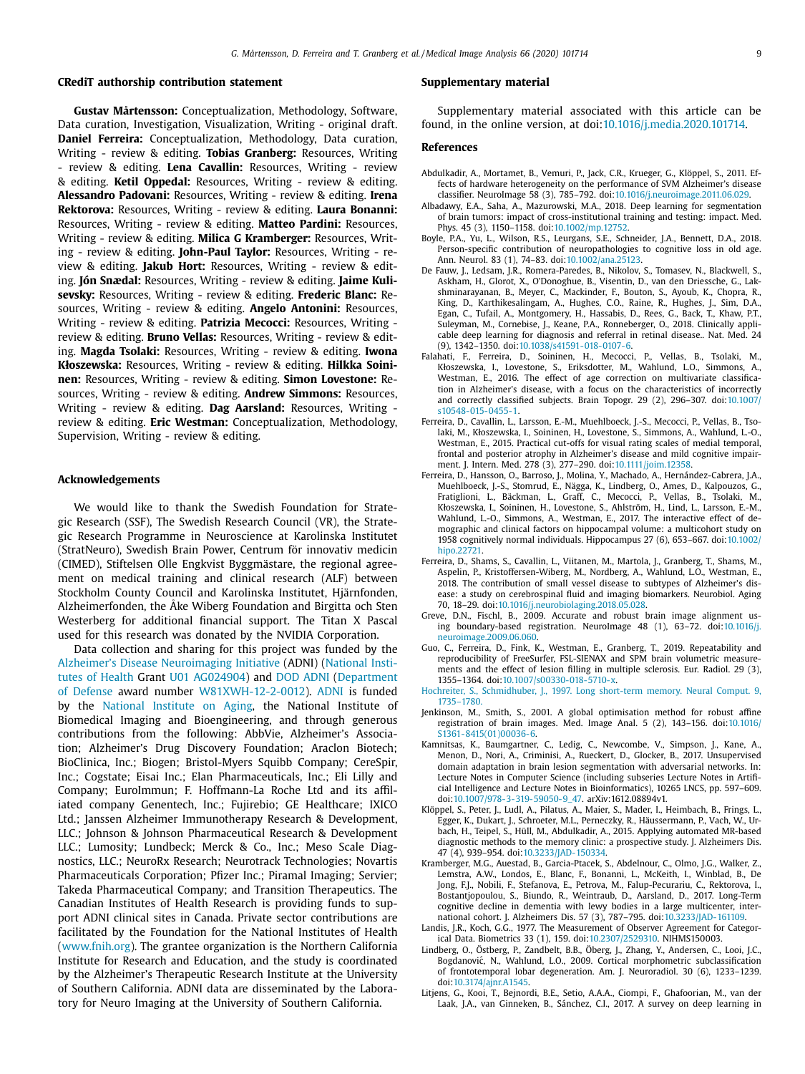## <span id="page-8-0"></span>**CRediT authorship contribution statement**

**Gustav Mårtensson:** Conceptualization, Methodology, Software, Data curation, Investigation, Visualization, Writing - original draft. **Daniel Ferreira:** Conceptualization, Methodology, Data curation, Writing - review & editing. **Tobias Granberg:** Resources, Writing - review & editing. **Lena Cavallin:** Resources, Writing - review & editing. **Ketil Oppedal:** Resources, Writing - review & editing. **Alessandro Padovani:** Resources, Writing - review & editing. **Irena Rektorova:** Resources, Writing - review & editing. **Laura Bonanni:** Resources, Writing - review & editing. **Matteo Pardini:** Resources, Writing - review & editing. **Milica G Kramberger:** Resources, Writing - review & editing. **John-Paul Taylor:** Resources, Writing - review & editing. **Jakub Hort:** Resources, Writing - review & editing. **Jón Snædal:** Resources, Writing - review & editing. **Jaime Kulisevsky:** Resources, Writing - review & editing. **Frederic Blanc:** Resources, Writing - review & editing. **Angelo Antonini:** Resources, Writing - review & editing. **Patrizia Mecocci:** Resources, Writing review & editing. **Bruno Vellas:** Resources, Writing - review & editing. **Magda Tsolaki:** Resources, Writing - review & editing. **Iwona Kłoszewska:** Resources, Writing - review & editing. **Hilkka Soininen:** Resources, Writing - review & editing. **Simon Lovestone:** Resources, Writing - review & editing. **Andrew Simmons:** Resources, Writing - review & editing. **Dag Aarsland:** Resources, Writing review & editing. **Eric Westman:** Conceptualization, Methodology, Supervision, Writing - review & editing.

## **Acknowledgements**

We would like to thank the Swedish Foundation for Strategic Research (SSF), The Swedish Research Council (VR), the Strategic Research Programme in Neuroscience at Karolinska Institutet (StratNeuro), Swedish Brain Power, Centrum för innovativ medicin (CIMED), Stiftelsen Olle Engkvist Byggmästare, the regional agreement on medical training and clinical research (ALF) between Stockholm County Council and Karolinska Institutet, Hjärnfonden, Alzheimerfonden, the Åke Wiberg Foundation and Birgitta och Sten Westerberg for additional financial support. The Titan X Pascal used for this research was donated by the NVIDIA Corporation.

Data collection and sharing for this project was funded by the Alzheimer's Disease [Neuroimaging](https://doi.org/10.13039/100007333) Initiative (ADNI) (National Institutes of Health Grant U01 AG024904) and DOD [ADNI](https://doi.org/10.13039/100014041) (Department of Defense award number [W81XWH-12-2-0012\).](https://doi.org/10.13039/100000005) [ADNI](https://doi.org/10.13039/100007333) is funded by the [National](https://doi.org/10.13039/100000049) Institute on Aging, the National Institute of Biomedical Imaging and Bioengineering, and through generous contributions from the following: AbbVie, Alzheimer's Association; Alzheimer's Drug Discovery Foundation; Araclon Biotech; BioClinica, Inc.; Biogen; Bristol-Myers Squibb Company; CereSpir, Inc.; Cogstate; Eisai Inc.; Elan Pharmaceuticals, Inc.; Eli Lilly and Company; EuroImmun; F. Hoffmann-La Roche Ltd and its affiliated company Genentech, Inc.; Fujirebio; GE Healthcare; IXICO Ltd.; Janssen Alzheimer Immunotherapy Research & Development, LLC.; Johnson & Johnson Pharmaceutical Research & Development LLC.; Lumosity; Lundbeck; Merck & Co., Inc.; Meso Scale Diagnostics, LLC.; NeuroRx Research; Neurotrack Technologies; Novartis Pharmaceuticals Corporation; Pfizer Inc.; Piramal Imaging; Servier; Takeda Pharmaceutical Company; and Transition Therapeutics. The Canadian Institutes of Health Research is providing funds to support ADNI clinical sites in Canada. Private sector contributions are facilitated by the Foundation for the National Institutes of Health [\(www.fnih.org\)](http://www.fnih.org). The grantee organization is the Northern California Institute for Research and Education, and the study is coordinated by the Alzheimer's Therapeutic Research Institute at the University of Southern California. ADNI data are disseminated by the Laboratory for Neuro Imaging at the University of Southern California.

## **Supplementary material**

Supplementary material associated with this article can be found, in the online version, at doi[:10.1016/j.media.2020.101714.](https://doi.org/10.1016/j.media.2020.101714)

#### **References**

- Abdulkadir, A., Mortamet, B., Vemuri, P., Jack, C.R., Krueger, G., Klöppel, S., 2011. Effects of hardware heterogeneity on the performance of SVM Alzheimer's disease classifier. NeuroImage 58 (3), 785–792. doi[:10.1016/j.neuroimage.2011.06.029.](https://doi.org/10.1016/j.neuroimage.2011.06.029)
- Albadawy, E.A., Saha, A., Mazurowski, M.A., 2018. Deep learning for segmentation of brain tumors: impact of cross-institutional training and testing: impact. Med. Phys. 45 (3), 1150–1158. doi[:10.1002/mp.12752.](https://doi.org/10.1002/mp.12752)
- Boyle, P.A., Yu, L., Wilson, R.S., Leurgans, S.E., Schneider, J.A., Bennett, D.A., 2018. Person-specific contribution of neuropathologies to cognitive loss in old age. Ann. Neurol. 83 (1), 74–83. doi[:10.1002/ana.25123.](https://doi.org/10.1002/ana.25123)
- De Fauw, J., Ledsam, J.R., Romera-Paredes, B., Nikolov, S., Tomasev, N., Blackwell, S. Askham, H., Glorot, X., O'Donoghue, B., Visentin, D., van den Driessche, G., Lakshminarayanan, B., Meyer, C., Mackinder, F., Bouton, S., Ayoub, K., Chopra, R., King, D., Karthikesalingam, A., Hughes, C.O., Raine, R., Hughes, J., Sim, D.A., Egan, C., Tufail, A., Montgomery, H., Hassabis, D., Rees, G., Back, T., Khaw, P.T., Suleyman, M., Cornebise, J., Keane, P.A., Ronneberger, O., 2018. Clinically applicable deep learning for diagnosis and referral in retinal disease.. Nat. Med. 24 (9), 1342–1350. doi[:10.1038/s41591-018-0107-6.](https://doi.org/10.1038/s41591-018-0107-6)
- Falahati, F., Ferreira, D., Soininen, H., Mecocci, P., Vellas, B., Tsolaki, M., Kłoszewska, I., Lovestone, S., Eriksdotter, M., Wahlund, L.O., Simmons, A., Westman, E., 2016. The effect of age correction on multivariate classification in Alzheimer's disease, with a focus on the characteristics of incorrectly and correctly classified subjects. Brain Topogr. 29 (2), 296-307. doi:10.1007 [s10548-015-0455-1.](https://doi.org/10.1007/s10548-015-0455-1)
- Ferreira, D., Cavallin, L., Larsson, E.-M., Muehlboeck, J.-S., Mecocci, P., Vellas, B., Tsolaki, M., Kłoszewska, I., Soininen, H., Lovestone, S., Simmons, A., Wahlund, L.-O., Westman, E., 2015. Practical cut-offs for visual rating scales of medial temporal, frontal and posterior atrophy in Alzheimer's disease and mild cognitive impairment. J. Intern. Med. 278 (3), 277–290. doi[:10.1111/joim.12358.](https://doi.org/10.1111/joim.12358)
- Ferreira, D., Hansson, O., Barroso, J., Molina, Y., Machado, A., Hernández-Cabrera, J.A., Muehlboeck, J.-S., Stomrud, E., Nägga, K., Lindberg, O., Ames, D., Kalpouzos, G., Fratiglioni, L., Bäckman, L., Graff, C., Mecocci, P., Vellas, B., Tsolaki, M., Kłoszewska, I., Soininen, H., Lovestone, S., Ahlström, H., Lind, L., Larsson, E.-M., Wahlund, L.-O., Simmons, A., Westman, E., 2017. The interactive effect of demographic and clinical factors on hippocampal volume: a multicohort study on 1958 cognitively normal individuals. [Hippocampus](https://doi.org/10.1002/hipo.22721) 27 (6), 653–667. doi:10.1002/ hipo.22721.
- Ferreira, D., Shams, S., Cavallin, L., Viitanen, M., Martola, J., Granberg, T., Shams, M., Aspelin, P., Kristoffersen-Wiberg, M., Nordberg, A., Wahlund, L.O., Westman, E., 2018. The contribution of small vessel disease to subtypes of Alzheimer's disease: a study on cerebrospinal fluid and imaging biomarkers. Neurobiol. Aging 70, 18–29. doi[:10.1016/j.neurobiolaging.2018.05.028.](https://doi.org/10.1016/j.neurobiolaging.2018.05.028)
- Greve, D.N., Fischl, B., 2009. Accurate and robust brain image alignment using boundary-based registration. NeuroImage 48 (1), 63–72. doi:10.1016/j. [neuroimage.2009.06.060.](https://doi.org/10.1016/j.neuroimage.2009.06.060)
- Guo, C., Ferreira, D., Fink, K., Westman, E., Granberg, T., 2019. Repeatability and reproducibility of FreeSurfer, FSL-SIENAX and SPM brain volumetric measurements and the effect of lesion filling in multiple sclerosis. Eur. Radiol. 29 (3), 1355–1364. doi[:10.1007/s00330-018-5710-x.](https://doi.org/10.1007/s00330-018-5710-x)
- [Hochreiter,](http://refhub.elsevier.com/S1361-8415(20)30078-5/sbref0011) S., [Schmidhuber,](http://refhub.elsevier.com/S1361-8415(20)30078-5/sbref0011) J., 1997. Long short-term memory. Neural Comput. 9, 1735–1780.
- Jenkinson, M., Smith, S., 2001. A global optimisation method for robust affine registration of brain images. Med. Image Anal. 5 (2), 143–156. doi:10.1016/ [S1361-8415\(01\)00036-6.](https://doi.org/10.1016/S1361-8415(01)00036-6)
- Kamnitsas, K., Baumgartner, C., Ledig, C., Newcombe, V., Simpson, J., Kane, A. Menon, D., Nori, A., Criminisi, A., Rueckert, D., Glocker, B., 2017. Unsupervised domain adaptation in brain lesion segmentation with adversarial networks. In: Lecture Notes in Computer Science (including subseries Lecture Notes in Artificial Intelligence and Lecture Notes in Bioinformatics), 10265 LNCS, pp. 597–609. doi[:10.1007/978-3-319-59050-9\\_47.](https://doi.org/10.1007/978-3-319-59050-9_47) arXiv:1612.08894v1.
- Klöppel, S., Peter, J., Ludl, A., Pilatus, A., Maier, S., Mader, I., Heimbach, B., Frings, L., Egger, K., Dukart, J., Schroeter, M.L., Perneczky, R., Häussermann, P., Vach, W., Urbach, H., Teipel, S., Hüll, M., Abdulkadir, A., 2015. Applying automated MR-based diagnostic methods to the memory clinic: a prospective study. J. Alzheimers Dis. 47 (4), 939–954. doi[:10.3233/JAD-150334.](https://doi.org/10.3233/JAD-150334)
- Kramberger, M.G., Auestad, B., Garcia-Ptacek, S., Abdelnour, C., Olmo, J.G., Walker, Z., Lemstra, A.W., Londos, E., Blanc, F., Bonanni, L., McKeith, I., Winblad, B., De Jong, F.J., Nobili, F., Stefanova, E., Petrova, M., Falup-Pecurariu, C., Rektorova, I., Bostantjopoulou, S., Biundo, R., Weintraub, D., Aarsland, D., 2017. Long-Term cognitive decline in dementia with lewy bodies in a large multicenter, international cohort. J. Alzheimers Dis. 57 (3), 787–795. doi[:10.3233/JAD-161109.](https://doi.org/10.3233/JAD-161109) Landis, J.R., Koch, G.G., 1977. The Measurement of Observer Agreement for Categor-
- ical Data. Biometrics 33 (1), 159. doi[:10.2307/2529310.](https://doi.org/10.2307/2529310) NIHMS150003.
- Lindberg, O., Östberg, P., Zandbelt, B.B., Öberg, J., Zhang, Y., Andersen, C., Looi, J.C.,<br>Bogdanović, N., Wahlund, L.O., 2009. Cortical morphometric subclassification of frontotemporal lobar degeneration. Am. J. Neuroradiol. 30 (6), 1233–1239. doi[:10.3174/ajnr.A1545.](https://doi.org/10.3174/ajnr.A1545)
- Litjens, G., Kooi, T., Bejnordi, B.E., Setio, A.A.A., Ciompi, F., Ghafoorian, M., van der Laak, J.A., van Ginneken, B., Sánchez, C.I., 2017. A survey on deep learning in